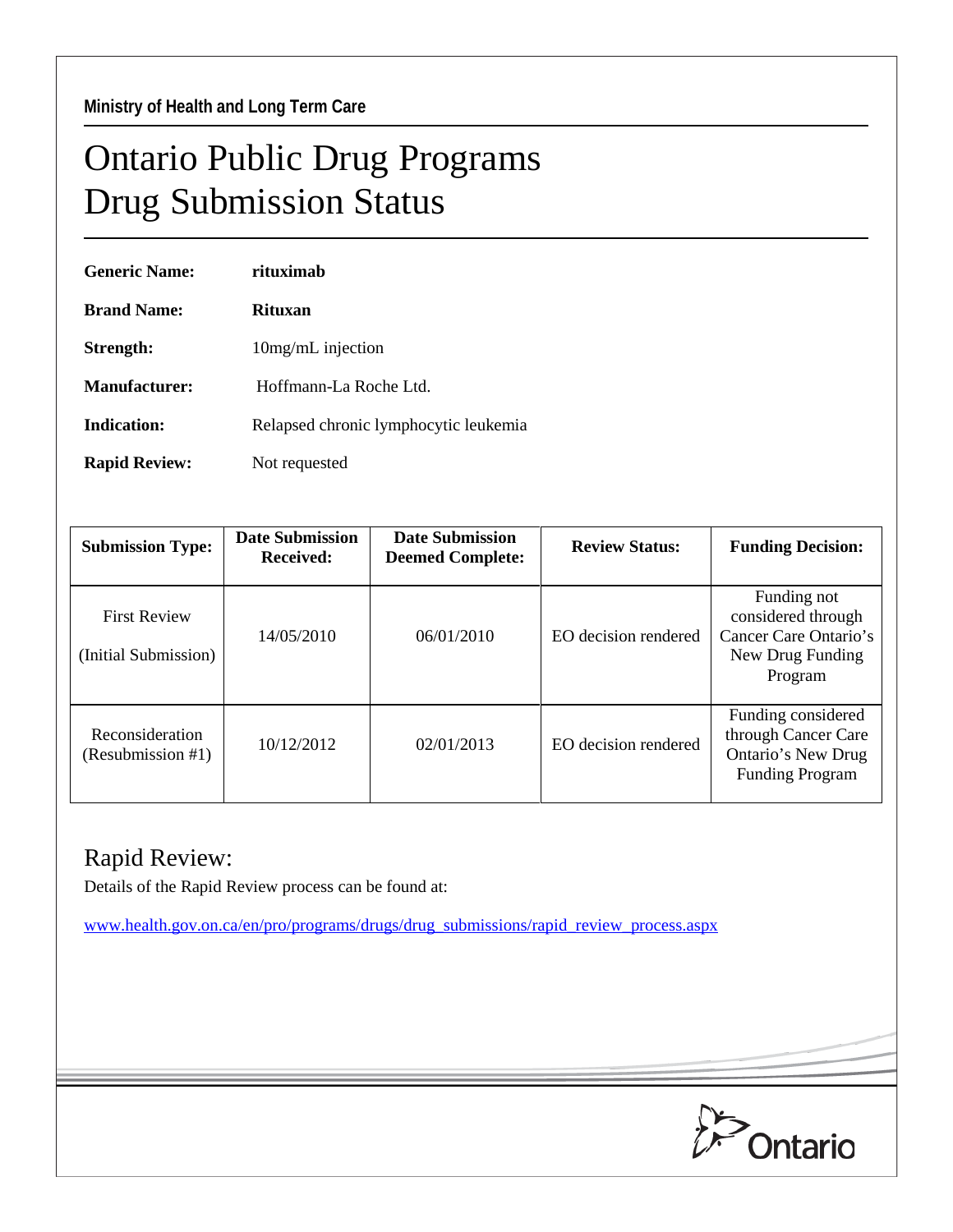## Ontario Public Drug Programs Drug Submission Status

| <b>Generic Name:</b> | rituximah                             |
|----------------------|---------------------------------------|
| <b>Brand Name:</b>   | Rituxan                               |
| Strength:            | 10mg/mL injection                     |
| Manufacturer:        | Hoffmann-La Roche Ltd                 |
| Indication:          | Relapsed chronic lymphocytic leukemia |
| <b>Rapid Review:</b> | Not requested                         |

| <b>Submission Type:</b>                     | <b>Date Submission</b><br><b>Received:</b> | <b>Date Submission</b><br><b>Deemed Complete:</b> | <b>Review Status:</b> | <b>Funding Decision:</b>                                                                  |
|---------------------------------------------|--------------------------------------------|---------------------------------------------------|-----------------------|-------------------------------------------------------------------------------------------|
| <b>First Review</b><br>(Initial Submission) | 14/05/2010                                 | 06/01/2010                                        | EO decision rendered  | Funding not<br>considered through<br>Cancer Care Ontario's<br>New Drug Funding<br>Program |
| Reconsideration<br>(Resubmission #1)        | 10/12/2012                                 | 02/01/2013                                        | EO decision rendered  | Funding considered<br>through Cancer Care<br>Ontario's New Drug<br><b>Funding Program</b> |

## Rapid Review:

Details of the Rapid Review process can be found at:

[www.health.gov.on.ca/en/pro/programs/drugs/drug\\_submissions/rapid\\_review\\_process.aspx](http://www.health.gov.on.ca/en/pro/programs/drugs/drug_submissions/rapid_review_process.aspx)